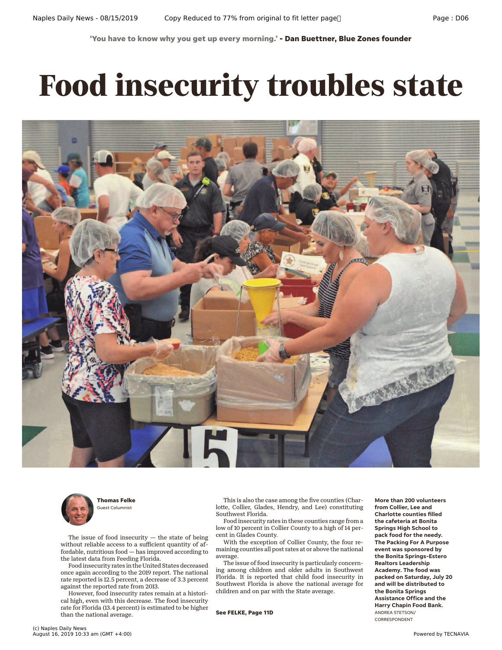**'You have to know why you get up every morning.' - Dan Buettner, Blue Zones founder**

## **Food insecurity troubles state**





**Thomas Felke** Guest Columnist

The issue of food insecurity  $-$  the state of being without reliable access to a sufficient quantity of affordable, nutritious food — has improved according to the latest data from Feeding Florida.

Food insecurity rates in the United States decreased once again according to the 2019 report. The national rate reported is 12.5 percent, a decrease of 3.3 percent against the reported rate from 2013.

However, food insecurity rates remain at a historical high, even with this decrease. The food insecurity rate for Florida (13.4 percent) is estimated to be higher than the national average.

This is also the case among the five counties (Charlotte, Collier, Glades, Hendry, and Lee) constituting Southwest Florida.

Food insecurity rates in these counties range from a low of 10 percent in Collier County to a high of 14 percent in Glades County.

With the exception of Collier County, the four remaining counties all post rates at or above the national average.

The issue of food insecurity is particularly concerning among children and older adults in Southwest Florida. It is reported that child food insecurity in Southwest Florida is above the national average for children and on par with the State average.

**See FELKE, Page 11D**

**More than 200 volunteers from Collier, Lee and Charlotte counties filled the cafeteria at Bonita Springs High School to pack food for the needy. The Packing For A Purpose event was sponsored by the Bonita Springs-Estero Realtors Leadership Academy. The food was packed on Saturday, July 20 and will be distributed to the Bonita Springs Assistance Office and the Harry Chapin Food Bank.** ANDREA STETSON/ CORRESPONDENT